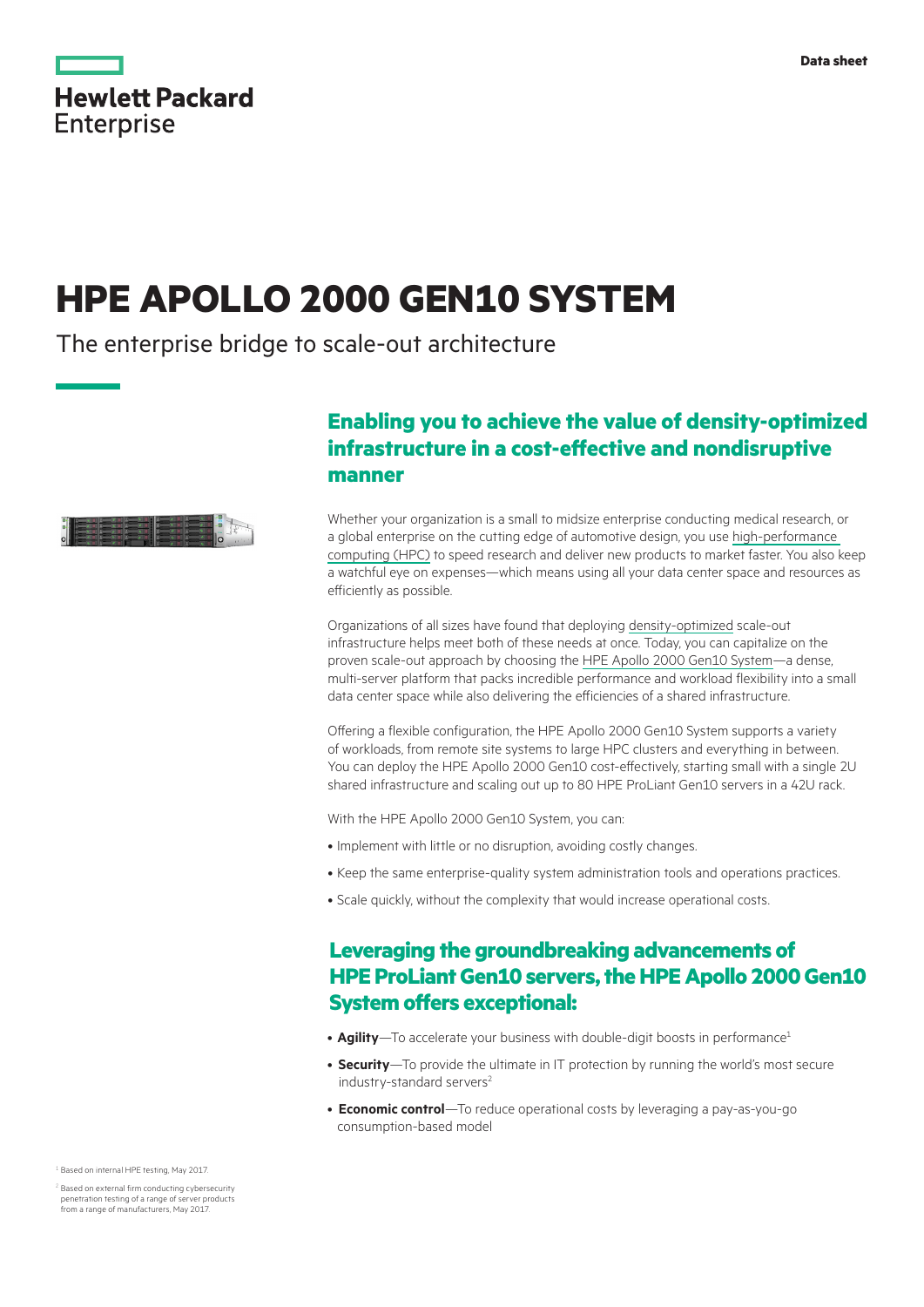|                   | <b>Hewlett Packard</b> |  |
|-------------------|------------------------|--|
| <b>Enterprise</b> |                        |  |

# **HPE APOLLO 2000 GEN10 SYSTEM**

The enterprise bridge to scale-out architecture



# **Enabling you to achieve the value of density‑optimized infrastructure in a cost-effective and nondisruptive manner**

Whether your organization is a small to midsize enterprise conducting medical research, or a global enterprise on the cutting edge of automotive design, you use [high-performance](https://www.hpe.com/us/en/solutions/hpc-high-performance-computing.html)  [computing \(HPC\)](https://www.hpe.com/us/en/solutions/hpc-high-performance-computing.html) to speed research and deliver new products to market faster. You also keep a watchful eye on expenses—which means using all your data center space and resources as efficiently as possible.

Organizations of all sizes have found that deploying [density-optimized](http://hpe.com/info/densityoptimized) scale-out infrastructure helps meet both of these needs at once. Today, you can capitalize on the proven scale-out approach by choosing the [HPE Apollo 2000 Gen10 System](https://www.hpe.com/us/en/servers/hpc-apollo-2000.html)—a dense, multi-server platform that packs incredible performance and workload flexibility into a small data center space while also delivering the efficiencies of a shared infrastructure.

Offering a flexible configuration, the HPE Apollo 2000 Gen10 System supports a variety of workloads, from remote site systems to large HPC clusters and everything in between. You can deploy the HPE Apollo 2000 Gen10 cost-effectively, starting small with a single 2U shared infrastructure and scaling out up to 80 HPE ProLiant Gen10 servers in a 42U rack.

With the HPE Apollo 2000 Gen10 System, you can:

- Implement with little or no disruption, avoiding costly changes.
- Keep the same enterprise-quality system administration tools and operations practices.
- Scale quickly, without the complexity that would increase operational costs.

# **Leveraging the groundbreaking advancements of HPE ProLiant Gen10 servers, the HPE Apollo 2000 Gen10 System offers exceptional:**

- **Agility**—To accelerate your business with double-digit boosts in performance<sup>1</sup>
- **Security**—To provide the ultimate in IT protection by running the world's most secure industry-standard servers<sup>2</sup>
- **Economic control**—To reduce operational costs by leveraging a pay-as-you-go consumption-based model

<sup>1</sup> Based on internal HPE testing, May 2017.

<sup>2</sup> Based on external firm conducting cybersecurity penetration testing of a range of server products from a range of manufacturers, May 2017.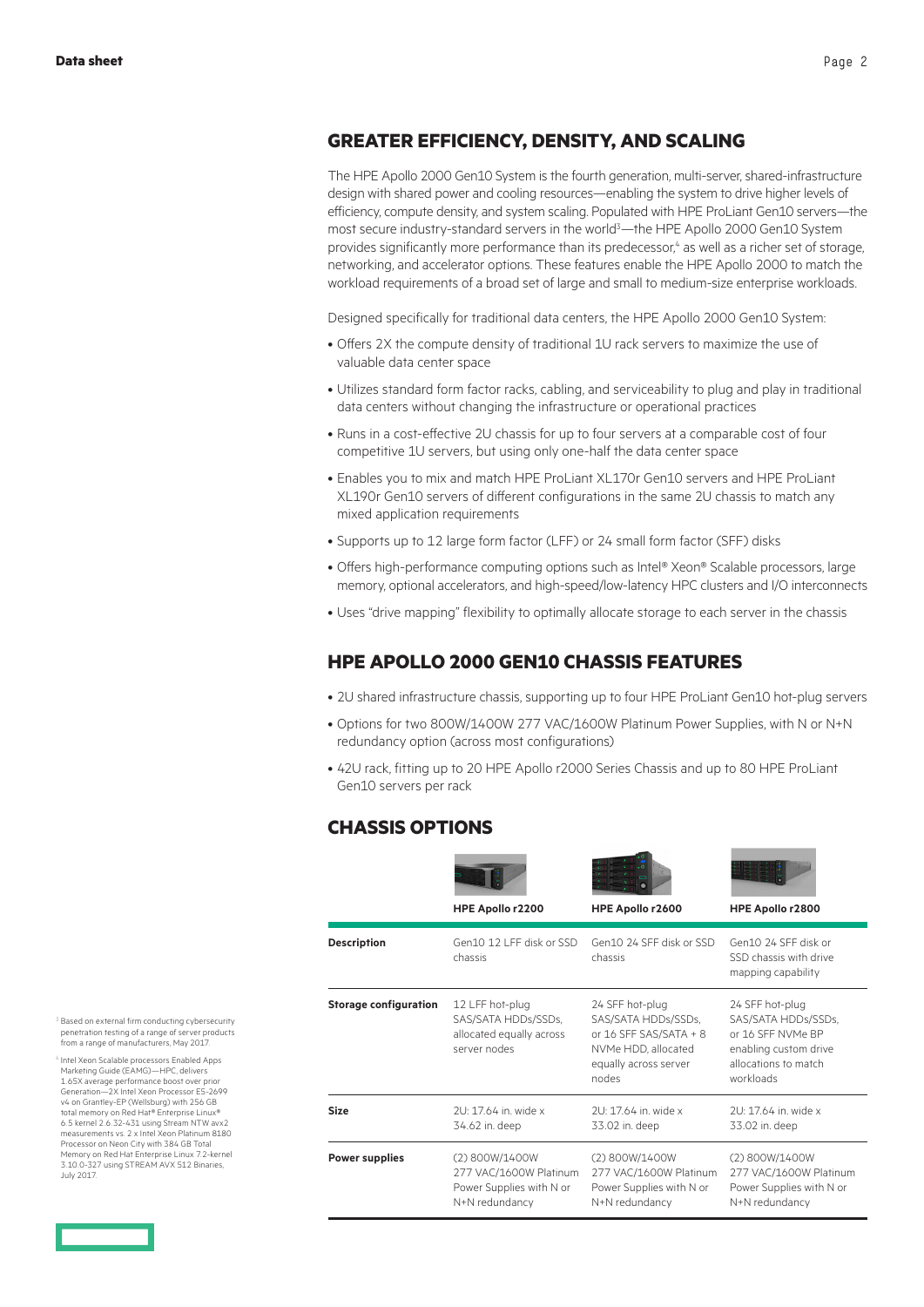### **GREATER EFFICIENCY, DENSITY, AND SCALING**

The HPE Apollo 2000 Gen10 System is the fourth generation, multi-server, shared-infrastructure design with shared power and cooling resources—enabling the system to drive higher levels of efficiency, compute density, and system scaling. Populated with HPE ProLiant Gen10 servers—the most secure industry-standard servers in the world<sup>3</sup>—the HPE Apollo 2000 Gen10 System provides significantly more performance than its predecessor,<sup>4</sup> as well as a richer set of storage, networking, and accelerator options. These features enable the HPE Apollo 2000 to match the workload requirements of a broad set of large and small to medium-size enterprise workloads.

Designed specifically for traditional data centers, the HPE Apollo 2000 Gen10 System:

- Offers 2X the compute density of traditional 1U rack servers to maximize the use of valuable data center space
- Utilizes standard form factor racks, cabling, and serviceability to plug and play in traditional data centers without changing the infrastructure or operational practices
- Runs in a cost-effective 2U chassis for up to four servers at a comparable cost of four competitive 1U servers, but using only one-half the data center space
- Enables you to mix and match HPE ProLiant XL170r Gen10 servers and HPE ProLiant XL190r Gen10 servers of different configurations in the same 2U chassis to match any mixed application requirements
- Supports up to 12 large form factor (LFF) or 24 small form factor (SFF) disks
- Offers high-performance computing options such as Intel® Xeon® Scalable processors, large memory, optional accelerators, and high-speed/low-latency HPC clusters and I/O interconnects
- Uses "drive mapping" flexibility to optimally allocate storage to each server in the chassis

### **HPE APOLLO 2000 GEN10 CHASSIS FEATURES**

- 2U shared infrastructure chassis, supporting up to four HPE ProLiant Gen10 hot-plug servers
- Options for two 800W/1400W 277 VAC/1600W Platinum Power Supplies, with N or N+N redundancy option (across most configurations)
- 42U rack, fitting up to 20 HPE Apollo r2000 Series Chassis and up to 80 HPE ProLiant Gen10 servers per rack

## **CHASSIS OPTIONS**

|                              | HPE Apollo r2200                                                                       | HPE Apollo r2600                                                                                                          | HPE Apollo r2800                                                                                                          |
|------------------------------|----------------------------------------------------------------------------------------|---------------------------------------------------------------------------------------------------------------------------|---------------------------------------------------------------------------------------------------------------------------|
| <b>Description</b>           | Gen10 12 LEE disk or SSD<br>chassis                                                    | Gen10 24 SEE disk or SSD<br>chassis                                                                                       | Gen10 24 SEE disk or<br>SSD chassis with drive<br>mapping capability                                                      |
| <b>Storage configuration</b> | 12 LFF hot-plug<br>SAS/SATA HDDs/SSDs,<br>allocated equally across<br>server nodes     | 24 SFF hot-plug<br>SAS/SATA HDDs/SSDs,<br>or 16 SFF SAS/SATA + 8<br>NVMe HDD, allocated<br>equally across server<br>nodes | 24 SFF hot-plug<br>SAS/SATA HDDs/SSDs.<br>or 16 SFF NVMe BP<br>enabling custom drive<br>allocations to match<br>workloads |
| Size                         | $21 \cdot 1764$ in wide x<br>34.62 in. deep                                            | $21 \cdot 1764$ in wide x<br>33.02 in. deep                                                                               | $21 \cdot 1764$ in wide x<br>33.02 in. deep                                                                               |
| <b>Power supplies</b>        | (2) 800W/1400W<br>277 VAC/1600W Platinum<br>Power Supplies with N or<br>N+N redundancy | (2) 800W/1400W<br>277 VAC/1600W Platinum<br>Power Supplies with N or<br>N+N redundancy                                    | (2) 800W/1400W<br>277 VAC/1600W Platinum<br>Power Supplies with N or<br>N+N redundancy                                    |

 $3$  Based on external firm conducting cybersecurity penetration testing of a range of server products from a range of manufacturers, May 2017.

<sup>4</sup> Intel Xeon Scalable processors Enabled Apps Marketing Guide (EAMG)—HPC, delivers 1.65X average performance boost over prior Generation—2X Intel Xeon Processor E5-2699 v4 on Grantley-EP (Wellsburg) with 256 GB total memory on Red Hat® Enterprise Linux® 6.5 kernel 2.6.32-431 using Stream NTW avx2 measurements vs. 2 x Intel Xeon Platinum 8180 Processor on Neon City with 384 GB Total Memory on Red Hat Enterprise Linux 7.2-kernel 3.10.0-327 using STREAM AVX 512 Binaries, July 2017.

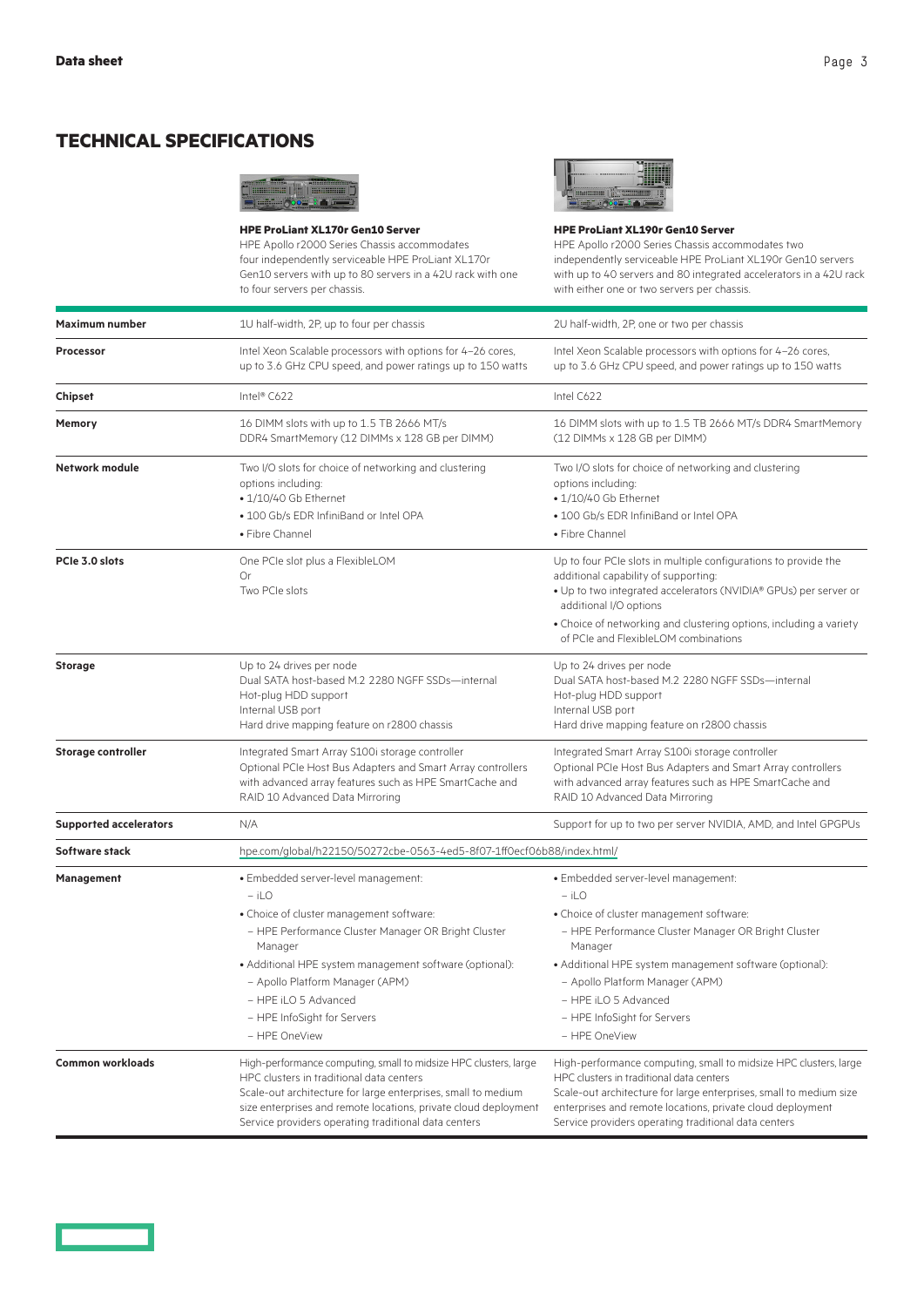# **TECHNICAL SPECIFICATIONS**



**HPE ProLiant XL170r Gen10 Server** HPE Apollo r2000 Series Chassis accommodates four independently serviceable HPE ProLiant XL170r Gen10 servers with up to 80 servers in a 42U rack with one to four servers per chassis.



**HPE ProLiant XL190r Gen10 Server**

HPE Apollo r2000 Series Chassis accommodates two independently serviceable HPE ProLiant XL190r Gen10 servers with up to 40 servers and 80 integrated accelerators in a 42U rack with either one or two servers per chassis.

| <b>Maximum number</b>         | 1U half-width, 2P, up to four per chassis                                                                                                                                                                                                                                                                | 2U half-width, 2P, one or two per chassis                                                                                                                                                                                                                                                                |  |
|-------------------------------|----------------------------------------------------------------------------------------------------------------------------------------------------------------------------------------------------------------------------------------------------------------------------------------------------------|----------------------------------------------------------------------------------------------------------------------------------------------------------------------------------------------------------------------------------------------------------------------------------------------------------|--|
| <b>Processor</b>              | Intel Xeon Scalable processors with options for 4-26 cores,<br>up to 3.6 GHz CPU speed, and power ratings up to 150 watts                                                                                                                                                                                | Intel Xeon Scalable processors with options for 4-26 cores,<br>up to 3.6 GHz CPU speed, and power ratings up to 150 watts                                                                                                                                                                                |  |
| Chipset                       | Intel® C622                                                                                                                                                                                                                                                                                              | Intel C622                                                                                                                                                                                                                                                                                               |  |
| Memory                        | 16 DIMM slots with up to 1.5 TB 2666 MT/s<br>DDR4 SmartMemory (12 DIMMs x 128 GB per DIMM)                                                                                                                                                                                                               | 16 DIMM slots with up to 1.5 TB 2666 MT/s DDR4 SmartMemory<br>(12 DIMMs x 128 GB per DIMM)                                                                                                                                                                                                               |  |
| Network module                | Two I/O slots for choice of networking and clustering<br>options including:<br>• 1/10/40 Gb Ethernet<br>· 100 Gb/s EDR InfiniBand or Intel OPA                                                                                                                                                           | Two I/O slots for choice of networking and clustering<br>options including:<br>• 1/10/40 Gb Ethernet<br>• 100 Gb/s EDR InfiniBand or Intel OPA                                                                                                                                                           |  |
|                               | • Fibre Channel                                                                                                                                                                                                                                                                                          | • Fibre Channel                                                                                                                                                                                                                                                                                          |  |
| PCIe 3.0 slots                | One PCIe slot plus a FlexibleLOM<br>Or<br>Two PCIe slots                                                                                                                                                                                                                                                 | Up to four PCIe slots in multiple configurations to provide the<br>additional capability of supporting:<br>. Up to two integrated accelerators (NVIDIA® GPUs) per server or<br>additional I/O options                                                                                                    |  |
|                               |                                                                                                                                                                                                                                                                                                          | • Choice of networking and clustering options, including a variety<br>of PCIe and FlexibleLOM combinations                                                                                                                                                                                               |  |
| <b>Storage</b>                | Up to 24 drives per node<br>Dual SATA host-based M.2 2280 NGFF SSDs-internal<br>Hot-plug HDD support<br>Internal USB port<br>Hard drive mapping feature on r2800 chassis                                                                                                                                 | Up to 24 drives per node<br>Dual SATA host-based M.2 2280 NGFF SSDs-internal<br>Hot-plug HDD support<br>Internal USB port<br>Hard drive mapping feature on r2800 chassis                                                                                                                                 |  |
| <b>Storage controller</b>     | Integrated Smart Array S100i storage controller<br>Optional PCIe Host Bus Adapters and Smart Array controllers<br>with advanced array features such as HPE SmartCache and<br>RAID 10 Advanced Data Mirroring                                                                                             | Integrated Smart Array S100i storage controller<br>Optional PCIe Host Bus Adapters and Smart Array controllers<br>with advanced array features such as HPE SmartCache and<br>RAID 10 Advanced Data Mirroring                                                                                             |  |
| <b>Supported accelerators</b> | N/A                                                                                                                                                                                                                                                                                                      | Support for up to two per server NVIDIA, AMD, and Intel GPGPUs                                                                                                                                                                                                                                           |  |
| Software stack                | hpe.com/global/h22150/50272cbe-0563-4ed5-8f07-1ff0ecf06b88/index.html/                                                                                                                                                                                                                                   |                                                                                                                                                                                                                                                                                                          |  |
| Management                    | · Embedded server-level management:<br>$-$ iLO                                                                                                                                                                                                                                                           | · Embedded server-level management:<br>$-$ iLO                                                                                                                                                                                                                                                           |  |
|                               | • Choice of cluster management software:<br>- HPE Performance Cluster Manager OR Bright Cluster<br>Manager                                                                                                                                                                                               | • Choice of cluster management software:<br>- HPE Performance Cluster Manager OR Bright Cluster<br>Manager                                                                                                                                                                                               |  |
|                               | • Additional HPE system management software (optional):<br>- Apollo Platform Manager (APM)<br>- HPE iLO 5 Advanced<br>- HPE InfoSight for Servers<br>- HPE OneView                                                                                                                                       | • Additional HPE system management software (optional):<br>- Apollo Platform Manager (APM)<br>$-$ HPF il $O$ 5 Advanced<br>- HPE InfoSight for Servers<br>- HPE OneView                                                                                                                                  |  |
| <b>Common workloads</b>       | High-performance computing, small to midsize HPC clusters, large<br>HPC clusters in traditional data centers<br>Scale-out architecture for large enterprises, small to medium<br>size enterprises and remote locations, private cloud deployment<br>Service providers operating traditional data centers | High-performance computing, small to midsize HPC clusters, large<br>HPC clusters in traditional data centers<br>Scale-out architecture for large enterprises, small to medium size<br>enterprises and remote locations, private cloud deployment<br>Service providers operating traditional data centers |  |

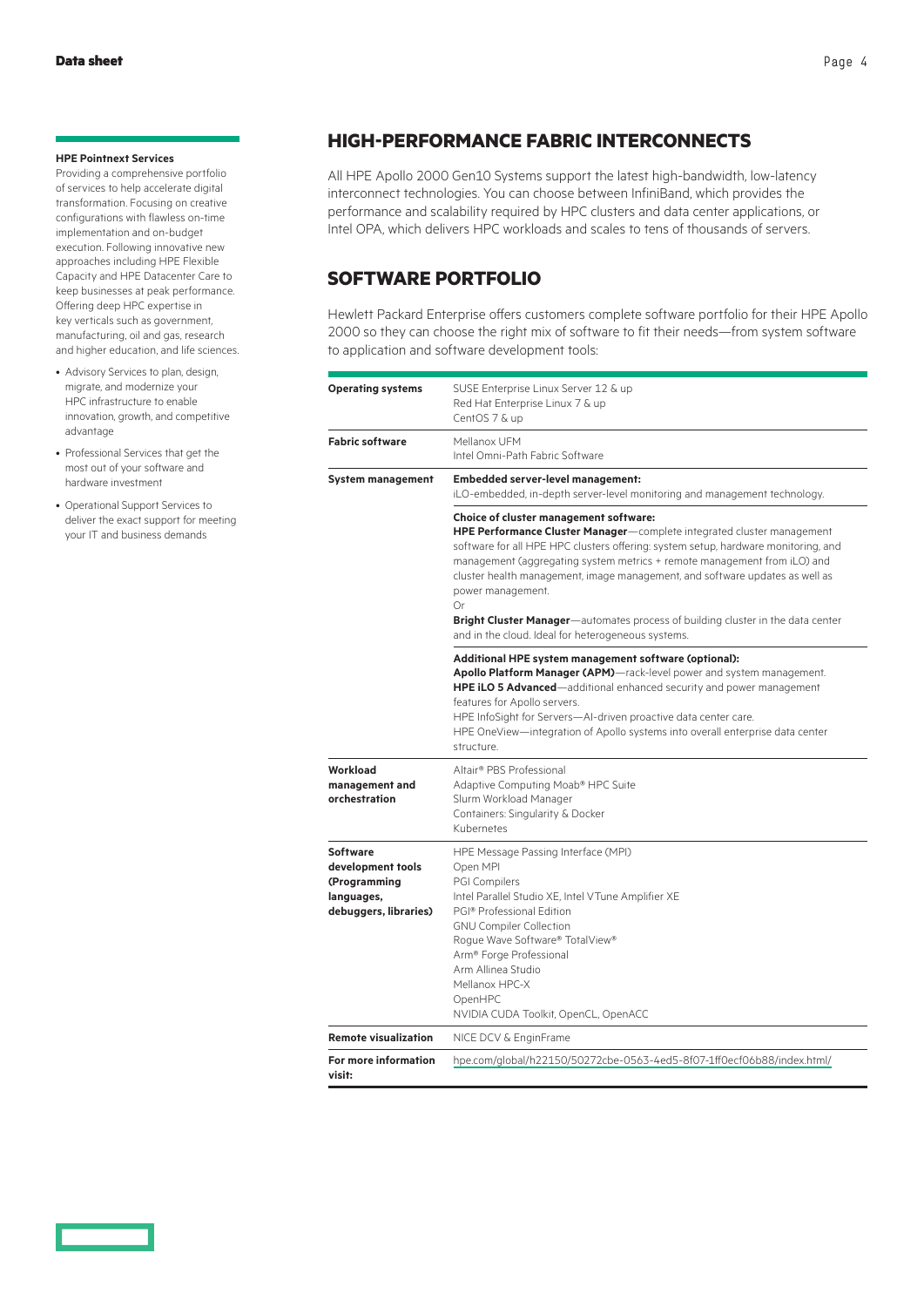#### **HPE Pointnext Services**

Providing a comprehensive portfolio of services to help accelerate digital transformation. Focusing on creative configurations with flawless on-time implementation and on-budget execution. Following innovative new approaches including HPE Flexible Capacity and HPE Datacenter Care to keep businesses at peak performance. Offering deep HPC expertise in key verticals such as government, manufacturing, oil and gas, research and higher education, and life sciences.

- Advisory Services to plan, design, migrate, and modernize your HPC infrastructure to enable innovation, growth, and competitive advantage
- Professional Services that get the most out of your software and hardware investment
- Operational Support Services to deliver the exact support for meeting your IT and business demands

### **HIGH-PERFORMANCE FABRIC INTERCONNECTS**

All HPE Apollo 2000 Gen10 Systems support the latest high-bandwidth, low-latency interconnect technologies. You can choose between InfiniBand, which provides the performance and scalability required by HPC clusters and data center applications, or Intel OPA, which delivers HPC workloads and scales to tens of thousands of servers.

# **SOFTWARE PORTFOLIO**

Hewlett Packard Enterprise offers customers complete software portfolio for their HPE Apollo 2000 so they can choose the right mix of software to fit their needs—from system software to application and software development tools:

| <b>Operating systems</b>                                                                    | SUSE Enterprise Linux Server 12 & up<br>Red Hat Enterprise Linux 7 & up<br>CentOS 7 & up                                                                                                                                                                                                                                                                                                                                                                                                                                                       |
|---------------------------------------------------------------------------------------------|------------------------------------------------------------------------------------------------------------------------------------------------------------------------------------------------------------------------------------------------------------------------------------------------------------------------------------------------------------------------------------------------------------------------------------------------------------------------------------------------------------------------------------------------|
| <b>Fabric software</b>                                                                      | Mellanox UFM<br>Intel Omni-Path Fabric Software                                                                                                                                                                                                                                                                                                                                                                                                                                                                                                |
| <b>System management</b>                                                                    | <b>Embedded server-level management:</b><br>iLO-embedded, in-depth server-level monitoring and management technology.                                                                                                                                                                                                                                                                                                                                                                                                                          |
|                                                                                             | Choice of cluster management software:<br><b>HPE Performance Cluster Manager</b> —complete integrated cluster management<br>software for all HPE HPC clusters offering: system setup, hardware monitoring, and<br>management (aggregating system metrics + remote management from iLO) and<br>cluster health management, image management, and software updates as well as<br>power management.<br>Or<br>Bright Cluster Manager-automates process of building cluster in the data center<br>and in the cloud. Ideal for heterogeneous systems. |
|                                                                                             | Additional HPE system management software (optional):<br>Apollo Platform Manager (APM)-rack-level power and system management.<br>HPE iLO 5 Advanced-additional enhanced security and power management<br>features for Apollo servers.<br>HPE InfoSight for Servers-AI-driven proactive data center care.<br>HPE OneView—integration of Apollo systems into overall enterprise data center<br>structure.                                                                                                                                       |
| Workload<br>management and<br>orchestration                                                 | Altair® PBS Professional<br>Adaptive Computing Moab® HPC Suite<br>Slurm Workload Manager<br>Containers: Singularity & Docker<br>Kubernetes                                                                                                                                                                                                                                                                                                                                                                                                     |
| <b>Software</b><br>development tools<br>(Programming<br>languages,<br>debuggers, libraries) | HPE Message Passing Interface (MPI)<br>Open MPI<br><b>PGI Compilers</b><br>Intel Parallel Studio XE, Intel VTune Amplifier XE<br>PGI® Professional Edition<br><b>GNU Compiler Collection</b><br>Rogue Wave Software® TotalView®<br>Arm <sup>®</sup> Forge Professional<br>Arm Allinea Studio<br>Mellanox HPC-X<br>OpenHPC<br>NVIDIA CUDA Toolkit, OpenCL, OpenACC                                                                                                                                                                              |
| <b>Remote visualization</b>                                                                 | NICE DCV & EnginFrame                                                                                                                                                                                                                                                                                                                                                                                                                                                                                                                          |
| For more information<br>visit:                                                              | hpe.com/global/h22150/50272cbe-0563-4ed5-8f07-1ff0ecf06b88/index.html/                                                                                                                                                                                                                                                                                                                                                                                                                                                                         |